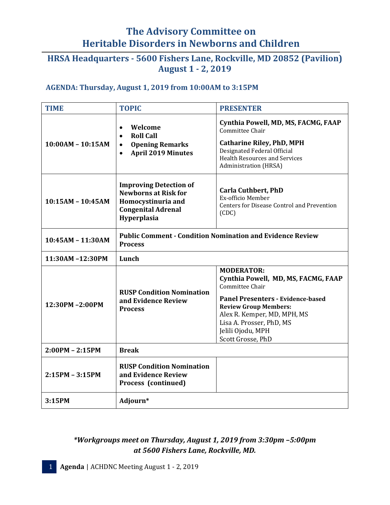# **The Advisory Committee on Heritable Disorders in Newborns and Children**

## **HRSA Headquarters - 5600 Fishers Lane, Rockville, MD 20852 (Pavilion) August 1 - 2, 2019**

#### **AGENDA: Thursday, August 1, 2019 from 10:00AM to 3:15PM**

| <b>TIME</b>         | <b>TOPIC</b>                                                                                                                           | <b>PRESENTER</b>                                                                                                                                                                                  |
|---------------------|----------------------------------------------------------------------------------------------------------------------------------------|---------------------------------------------------------------------------------------------------------------------------------------------------------------------------------------------------|
| $10:00AM - 10:15AM$ | Welcome<br>$\bullet$<br><b>Roll Call</b><br>$\bullet$<br><b>Opening Remarks</b><br>$\bullet$<br><b>April 2019 Minutes</b><br>$\bullet$ | Cynthia Powell, MD, MS, FACMG, FAAP<br>Committee Chair<br><b>Catharine Riley, PhD, MPH</b><br>Designated Federal Official<br><b>Health Resources and Services</b><br><b>Administration</b> (HRSA) |
| $10:15AM - 10:45AM$ | <b>Improving Detection of</b><br><b>Newborns at Risk for</b><br>Homocystinuria and<br><b>Congenital Adrenal</b><br>Hyperplasia         | <b>Carla Cuthbert, PhD</b><br>Ex-officio Member<br><b>Centers for Disease Control and Prevention</b><br>(CDC)                                                                                     |
| $10:45AM - 11:30AM$ | <b>Public Comment - Condition Nomination and Evidence Review</b><br><b>Process</b>                                                     |                                                                                                                                                                                                   |
| 11:30AM-12:30PM     | Lunch                                                                                                                                  |                                                                                                                                                                                                   |
| 12:30PM-2:00PM      | <b>RUSP Condition Nomination</b><br>and Evidence Review<br><b>Process</b>                                                              | <b>MODERATOR:</b><br>Cynthia Powell, MD, MS, FACMG, FAAP<br>Committee Chair                                                                                                                       |
|                     |                                                                                                                                        | <b>Panel Presenters - Evidence-based</b><br><b>Review Group Members:</b><br>Alex R. Kemper, MD, MPH, MS<br>Lisa A. Prosser, PhD, MS<br>Jelili Ojodu, MPH<br>Scott Grosse, PhD                     |
| $2:00PM - 2:15PM$   | <b>Break</b>                                                                                                                           |                                                                                                                                                                                                   |
| $2:15PM - 3:15PM$   | <b>RUSP Condition Nomination</b><br>and Evidence Review<br>Process (continued)                                                         |                                                                                                                                                                                                   |
| 3:15PM              | Adjourn*                                                                                                                               |                                                                                                                                                                                                   |

### *\*Workgroups meet on Thursday, August 1, 2019 from 3:30pm –5:00pm at 5600 Fishers Lane, Rockville, MD.*